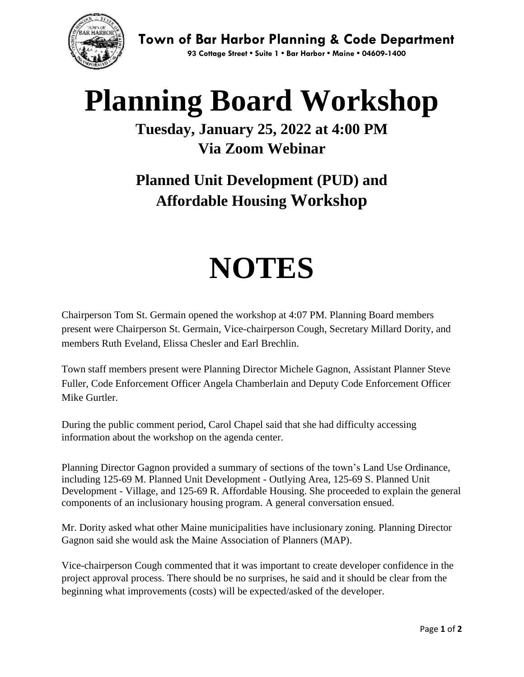

**Planning Board Workshop**

## **Tuesday, January 25, 2022 at 4:00 PM Via Zoom Webinar**

## **Planned Unit Development (PUD) and Affordable Housing Workshop**

## **NOTES**

Chairperson Tom St. Germain opened the workshop at 4:07 PM. Planning Board members present were Chairperson St. Germain, Vice-chairperson Cough, Secretary Millard Dority, and members Ruth Eveland, Elissa Chesler and Earl Brechlin.

Town staff members present were Planning Director Michele Gagnon, Assistant Planner Steve Fuller, Code Enforcement Officer Angela Chamberlain and Deputy Code Enforcement Officer Mike Gurtler.

During the public comment period, Carol Chapel said that she had difficulty accessing information about the workshop on the agenda center.

Planning Director Gagnon provided a summary of sections of the town's Land Use Ordinance, including 125-69 M. Planned Unit Development - Outlying Area, 125-69 S. Planned Unit Development - Village, and 125-69 R. Affordable Housing. She proceeded to explain the general components of an inclusionary housing program. A general conversation ensued.

Mr. Dority asked what other Maine municipalities have inclusionary zoning. Planning Director Gagnon said she would ask the Maine Association of Planners (MAP).

Vice-chairperson Cough commented that it was important to create developer confidence in the project approval process. There should be no surprises, he said and it should be clear from the beginning what improvements (costs) will be expected/asked of the developer.